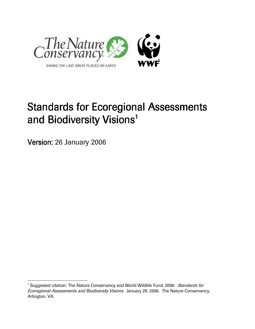

# Standards for Ecoregional Assessments and Biodiversity Visions<sup>1</sup>

Version: 26 January 2006

 $\overline{a}$ 

<sup>&</sup>lt;sup>1</sup> Suggested citation: The Nature Conservancy and World Wildlife Fund, 2006. Standards for **Ecoregional Assessments and Biodiversity Visions. January 26, 2006. The Nature Conservancy,** Arlington, VA.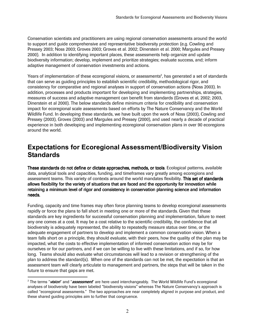Conservation scientists and practitioners are using regional conservation assessments around the world to support and guide comprehensive and representative biodiversity protection (e.g. Cowling and Pressey 2003; Noss 2003; Groves 2003; Groves et al. 2002; Dinerstein et al. 2000; Margules and Pressey 2000). In addition to identifying important places, these assessments help organize and update biodiversity information; develop, implement and prioritize strategies; evaluate success, and; inform adaptive management of conservation investments and actions.

Years of implementation of these ecoregional visions, or assessments<sup>2</sup>, has generated a set of standards that can serve as guiding principles to establish scientific credibility, methodological rigor, and consistency for comparative and regional analyses in support of conservation actions (Noss 2003). In addition, processes and products important for developing and implementing partnerships, strategies, measures of success and adaptive management can benefit from standards (Groves et al, 2002; 2003, Dinerstein et al 2000). The below standards define minimum criteria for credibility and conservation impact for ecoregional scale assessments based on efforts by The Nature Conservancy and the World Wildlife Fund. In developing these standards, we have built upon the work of Noss (2003), Cowling and Pressey (2003), Groves (2003) and Margules and Pressey (2000), and used nearly a decade of practical experience in both developing and implementing ecoregional conservation plans in over 90 ecoregions around the world.

# Expectations for Ecoregional Assessment/Biodiversity Vision **Standards**

These standards do not define or dictate approaches, methods, or tools. Ecological patterns, available data, analytical tools and capacities, funding, and timeframes vary greatly among ecoregions and assessment teams. This variety of contexts around the world mandates flexibility. This set of standards allows flexibility for the variety of situations that are faced and the opportunity for innovation while retaining a minimum level of rigor and consistency in conservation planning science and information needs. needs.

Funding, capacity and time frames may often force planning teams to develop ecoregional assessments rapidly or force the plans to fall short in meeting one or more of the standards. Given that these standards are key ingredients for successful conservation planning and implementation, failure to meet any one comes at a cost. It may be a cost relative to the scientific credibility, the confidence that all biodiversity is adequately represented, the ability to repeatedly measure status over time, or the adequate engagement of partners to develop and implement a common conservation vision. When a team falls short on a principle, they should evaluate, with their peers, how the quality of the plan may be impacted, what the costs to effective implementation of informed conservation action may be for ourselves or for our partners, and if we can be willing to live with these limitations, and if so, for how long. Teams should also evaluate what circumstances will lead to a revision or strengthening of the plan to address the standard(s). When one of the standards can not be met, the expectation is that an assessment team will clearly articulate to management and partners, the steps that will be taken in the future to ensure that gaps are met.

 $\overline{a}$ 

<sup>&</sup>lt;sup>2</sup> The terms "*vision*" and "*assessment*" are here used interchangeably. The World Wildlife Fund's ecoregional analyses of biodiversity have been labeled "biodiversity visions" whereas The Nature Conservancy's approach is called "ecoregional assessments." The two approaches are near completely aligned in purpose and product, and these shared guiding principles aim to further that congruence.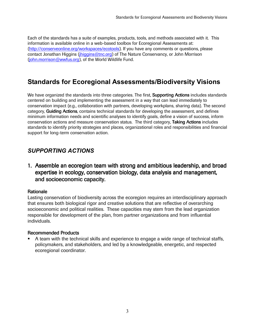Each of the standards has a suite of examples, products, tools, and methods associated with it. This information is available online in a web-based toolbox for Ecoregional Assessments at: (http://conserveonline.org/workspaces/ecotools). If you have any comments or questions, please contact Jonathan Higgins (jhiggins@tnc.org) of The Nature Conservancy, or John Morrison (john.morrison@wwfus.org), of the World Wildlife Fund.

# Standards for Ecoregional Assessments/Biodiversity Visions

We have organized the standards into three categories. The first, **Supporting Actions** includes standards centered on building and implementing the assessment in a way that can lead immediately to conservation impact (e.g., collaboration with partners, developing workplans, sharing data). The second category, Guiding Actions, contains technical standards for developing the assessment, and defines minimum information needs and scientific analyses to identify goals, define a vision of success, inform conservation actions and measure conservation status. The third category, Taking Actions includes standards to identify priority strategies and places, organizational roles and responsibilities and financial support for long-term conservation action.

# SUPPORTING ACTIONS

1. Assemble an ecoregion team with strong and ambitious leadership, and broad expertise in ecology, conservation biology, data analysis and management, and socioeconomic capacity. and socioeconomic capacity.

#### Rationale

Lasting conservation of biodiversity across the ecoregion requires an interdisciplinary approach that ensures both biological rigor and creative solutions that are reflective of overarching socioeconomic and political realities. These capacities may stem from the lead organization responsible for development of the plan, from partner organizations and from influential individuals.

#### **Recommended Products**

 A team with the technical skills and experience to engage a wide range of technical staffs, policymakers, and stakeholders, and led by a knowledgeable, energetic, and respected ecoregional coordinator.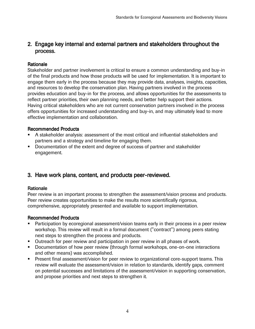# 2. Engage key internal and external partners and stakeholders throughout the process. process.

#### Rationale

Stakeholder and partner involvement is critical to ensure a common understanding and buy-in of the final products and how those products will be used for implementation. It is important to engage them early in the process because they may provide data, analyses, insights, capacities, and resources to develop the conservation plan. Having partners involved in the process provides education and buy-in for the process, and allows opportunities for the assessments to reflect partner priorities, their own planning needs, and better help support their actions. Having critical stakeholders who are not current conservation partners involved in the process offers opportunities for increased understanding and buy-in, and may ultimately lead to more effective implementation and collaboration.

#### **Recommended Products**

- A stakeholder analysis: assessment of the most critical and influential stakeholders and partners and a strategy and timeline for engaging them.
- Documentation of the extent and degree of success of partner and stakeholder engagement.

# 3. Have work plans, content, and products peer-reviewed.

#### Rationale

Peer review is an important process to strengthen the assessment/vision process and products. Peer review creates opportunities to make the results more scientifically rigorous, comprehensive, appropriately presented and available to support implementation.

- Barticipation by ecoregional assessment/vision teams early in their process in a peer review workshop. This review will result in a formal document ("contract") among peers stating next steps to strengthen the process and products.
- **Dutreach for peer review and participation in peer review in all phases of work.**
- **B**ocumentation of how peer review (through formal workshops, one-on-one interactions and other means) was accomplished.
- **B** Bresent final assessment/vision for peer review to organizational core-support teams. This review will evaluate the assessment/vision in relation to standards, identify gaps, comment on potential successes and limitations of the assessment/vision in supporting conservation, and propose priorities and next steps to strengthen it.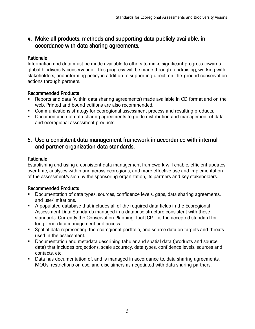# 4. Make all products, methods and supporting data publicly available, in accordance with data sharing agreements.

#### **Rationale**

Information and data must be made available to others to make significant progress towards global biodiversity conservation. This progress will be made through fundraising, working with stakeholders, and informing policy in addition to supporting direct, on-the-ground conservation actions through partners.

#### Recommended Products

- **B**eports and data (within data sharing agreements) made available in CD format and on the web. Printed and bound editions are also recommended.
- **Bommunications strategy for ecoregional assessment process and resulting products.**
- **B** Bocumentation of data sharing agreements to guide distribution and management of data and ecoregional assessment products.

# 5. Use a consistent data management framework in accordance with internal and partner organization data standards.

## **Rationale**

Establishing and using a consistent data management framework will enable, efficient updates over time, analyses within and across ecoregions, and more effective use and implementation of the assessment/vision by the sponsoring organization, its partners and key stakeholders.

- Documentation of data types, sources, confidence levels, gaps, data sharing agreements, and use/limitations.
- A populated database that includes all of the required data fields in the Ecoregional Assessment Data Standards managed in a database structure consistent with those standards. Currently the Conservation Planning Tool [CPT] is the accepted standard for long-term data management and access.
- Spatial data representing the ecoregional portfolio, and source data on targets and threats used in the assessment.
- Documentation and metadata describing tabular and spatial data (products and source data) that includes projections, scale accuracy, data types, confidence levels, sources and contacts, etc.
- Data has documentation of, and is managed in accordance to, data sharing agreements, MOUs, restrictions on use, and disclaimers as negotiated with data sharing partners.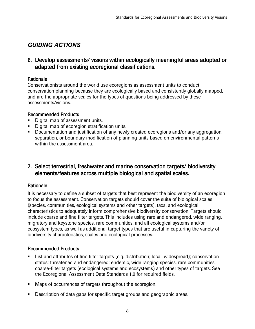# GUIDING ACTIONS

# 6. Develop assessments/ visions within ecologically meaningful areas adopted or adapted from existing ecoregional classifications.

## **Rationale**

Conservationists around the world use ecoregions as assessment units to conduct conservation planning because they are ecologically based and consistently globally mapped, and are the appropriate scales for the types of questions being addressed by these assessments/visions.

## **Recommended Products**

- Digital map of assessment units.
- Digital map of ecoregion stratification units.
- Documentation and justification of any newly created ecoregions and/or any aggregation, separation, or boundary modification of planning units based on environmental patterns within the assessment area.

# 7. Select terrestrial, freshwater and marine conservation targets/ biodiversity elements/features across multiple biological and spatial scales.

## **Rationale**

It is necessary to define a subset of targets that best represent the biodiversity of an ecoregion to focus the assessment. Conservation targets should cover the suite of biological scales (species, communities, ecological systems and other targets), taxa, and ecological characteristics to adequately inform comprehensive biodiversity conservation. Targets should include coarse and fine filter targets. This includes using rare and endangered, wide ranging, migratory and keystone species, rare communities, and all ecological systems and/or ecosystem types, as well as additional target types that are useful in capturing the variety of biodiversity characteristics, scales and ecological processes.

## Recommended Products Recommended Products

- **Bist and attributes of fine filter targets (e.g. distribution; local, widespread); conservation** status: threatened and endangered; endemic, wide ranging species, rare communities, coarse-filter targets (ecological systems and ecosystems) and other types of targets. See the Ecoregional Assessment Data Standards 1.0 for required fields.
- **Maps of occurrences of targets throughout the ecoregion.**
- **Description of data gaps for specific target groups and geographic areas.**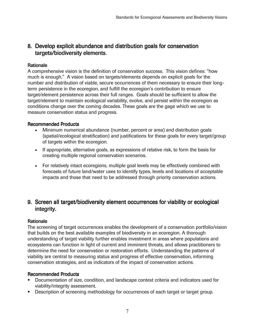# 8. Develop explicit abundance and distribution goals for conservation targets/biodiversity elements.

#### **Rationale**

A comprehensive vision is the definition of conservation success. This vision defines: "how much is enough." A vision based on targets/elements depends on explicit goals for the number and distribution of viable, secure occurrences of them necessary to ensure their longterm persistence in the ecoregion, and fulfill the ecoregion's contribution to ensure target/element persistence across their full ranges. Goals should be sufficient to allow the target/element to maintain ecological variability, evolve, and persist within the ecoregion as conditions change over the coming decades. These goals are the gage which we use to measure conservation status and progress.

#### Recommended Products Recommended Products

- Minimum numerical abundance (number, percent or area) and distribution goals (spatial/ecological stratification) and justifications for these goals for every target/group of targets within the ecoregion.
- If appropriate, alternative goals, as expressions of relative risk, to form the basis for creating multiple regional conservation scenarios.
- For relatively intact ecoregions, multiple goal levels may be effectively combined with forecasts of future land/water uses to identify types, levels and locations of acceptable impacts and those that need to be addressed through priority conservation actions.

# 9. Screen all target/biodiversity element occurrences for viability or ecological integrity.

#### **Rationale**

The screening of target occurrences enables the development of a conservation portfolio/vision that builds on the best available examples of biodiversity in an ecoregion. A thorough understanding of target viability further enables investment in areas where populations and ecosystems can function in light of current and imminent threats, and allows practitioners to determine the need for conservation or restoration efforts. Understanding the patterns of viability are central to measuring status and progress of effective conservation, informing conservation strategies, and as indicators of the impact of conservation actions.

- Documentation of size, condition, and landscape context criteria and indicators used for viability/integrity assessment.
- Description of screening methodology for occurrences of each target or target group.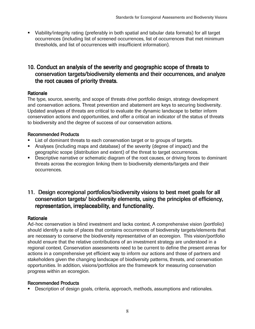Viability/integrity rating (preferably in both spatial and tabular data formats) for all target occurrences (including list of screened occurrences, list of occurrences that met minimum thresholds, and list of occurrences with insufficient information).

# 10. Conduct an analysis of the severity and geographic scope of threats to conservation targets/biodiversity elements and their occurrences, and analyze the root causes of priority threats.

## **Rationale**

The type, source, severity, and scope of threats drive portfolio design, strategy development and conservation actions. Threat prevention and abatement are keys to securing biodiversity. Updated analyses of threats are critical to evaluate the dynamic landscape to better inform conservation actions and opportunities, and offer a critical an indicator of the status of threats to biodiversity and the degree of success of our conservation actions.

## Recommended Products

- **EXECT** List of dominant threats to each conservation target or to groups of targets.
- Analyses (including maps and database) of the severity (degree of impact) and the geographic scope (distribution and extent) of the threat to target occurrences.
- **Descriptive narrative or schematic diagram of the root causes, or driving forces to dominant** threats across the ecoregion linking them to biodiversity elements/targets and their occurrences.

# 11. Design ecoregional portfolios/biodiversity visions to best meet goals for all conservation targets/ biodiversity elements, using the principles of efficiency, representation, irreplaceability, and functionality.

## **Rationale**

Ad-hoc conservation is blind investment and lacks context. A comprehensive vision (portfolio) should identify a suite of places that contains occurrences of biodiversity targets/elements that are necessary to conserve the biodiversity representative of an ecoregion. This vision/portfolio should ensure that the relative contributions of an investment strategy are understood in a regional context. Conservation assessments need to be current to define the present arenas for actions in a comprehensive yet efficient way to inform our actions and those of partners and stakeholders given the changing landscape of biodiversity patterns, threats, and conservation opportunities. In addition, visions/portfolios are the framework for measuring conservation progress within an ecoregion.

## Recommended Products Recommended Products

**Description of design goals, criteria, approach, methods, assumptions and rationales.**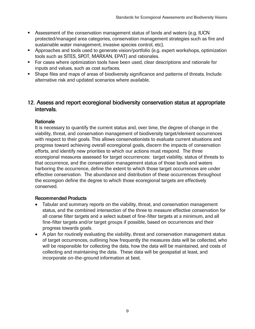- Assessment of the conservation management status of lands and waters (e.g. IUCN protected/managed area categories, conservation management strategies such as fire and sustainable water management, invasive species control, etc).
- Approaches and tools used to generate vision/portfolio (e.g. expert workshops, optimization tools such as SITES, SPOT, MARXAN, EPAT) and rationales.
- **For cases where optimization tools have been used, clear descriptions and rationale for** inputs and values, such as cost surfaces.
- Shape files and maps of areas of biodiversity significance and patterns of threats. Include alternative risk and updated scenarios where available.

# 12. Assess and report ecoregional biodiversity conservation status at appropriate intervals.

## **Rationale**

It is necessary to quantify the current status and, over time, the degree of change in the viability, threat, and conservation management of biodiversity target/element occurrences with respect to their goals. This allows conservationists to evaluate current situations and progress toward achieving overall ecoregional goals, discern the impacts of conservation efforts, and identify new priorities to which our actions must respond. The three ecoregional measures assessed for target occurrences: target viability, status of threats to that occurrence, and the conservation management status of those lands and waters harboring the occurrence, define the extent to which those target occurrences are under effective conservation. The abundance and distribution of these occurrences throughout the ecoregion define the degree to which those ecoregional targets are effectively conserved.

- Tabular and summary reports on the viability, threat, and conservation management status, and the combined intersection of the three to measure effective conservation for all coarse filter targets and a select subset of fine-filter targets at a minimum, and all fine-filter targets and/or target groups if possible, based on occurrences and their progress towards goals.
- A plan for routinely evaluating the viability, threat and conservation management status of target occurrences, outlining how frequently the measures data will be collected, who will be responsible for collecting the data, how the data will be maintained, and costs of collecting and maintaining the data. These data will be geospatial at least, and incorporate on-the-ground information at best.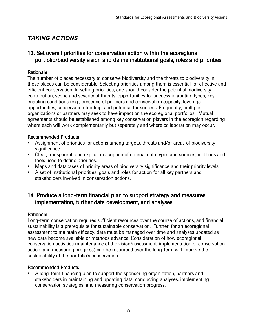# TAKING ACTIONS

# 13. Set overall priorities for conservation action within the ecoregional portfolio/biodiversity vision and define institutional goals, roles and priorities.

## **Rationale**

The number of places necessary to conserve biodiversity and the threats to biodiversity in those places can be considerable. Selecting priorities among them is essential for effective and efficient conservation. In setting priorities, one should consider the potential biodiversity contribution, scope and severity of threats, opportunities for success in abating types, key enabling conditions (e.g., presence of partners and conservation capacity, leverage opportunities, conservation funding, and potential for success. Frequently, multiple organizations or partners may seek to have impact on the ecoregional portfolios. Mutual agreements should be established among key conservation players in the ecoregion regarding where each will work complementarily but separately and where collaboration may occur.

## Recommended Products Recommended Products

- **B**essignment of priorities for actions among targets, threats and/or areas of biodiversity significance.
- Blear, transparent, and explicit description of criteria, data types and sources, methods and tools used to define priorities.
- **B** By and databases of priority areas of biodiversity significance and their priority levels.
- $\blacksquare$  **B** set of institutional priorities, goals and roles for action for all key partners and stakeholders involved in conservation actions.

# 14. Produce a long-term financial plan to support strategy and measures, implementation, further data development, and analyses.

## **Rationale**

Long-term conservation requires sufficient resources over the course of actions, and financial sustainability is a prerequisite for sustainable conservation. Further, for an ecoregional assessment to maintain efficacy, data must be managed over time and analyses updated as new data become available or methods advance. Consideration of how ecoregional conservation activities (maintenance of the vision/assessment, implementation of conservation action, and measuring progress) can be resourced over the long-term will improve the sustainability of the portfolio's conservation.

## **Recommended Products**

 A long-term financing plan to support the sponsoring organization, partners and stakeholders in maintaining and updating data, conducting analyses, implementing conservation strategies, and measuring conservation progress.